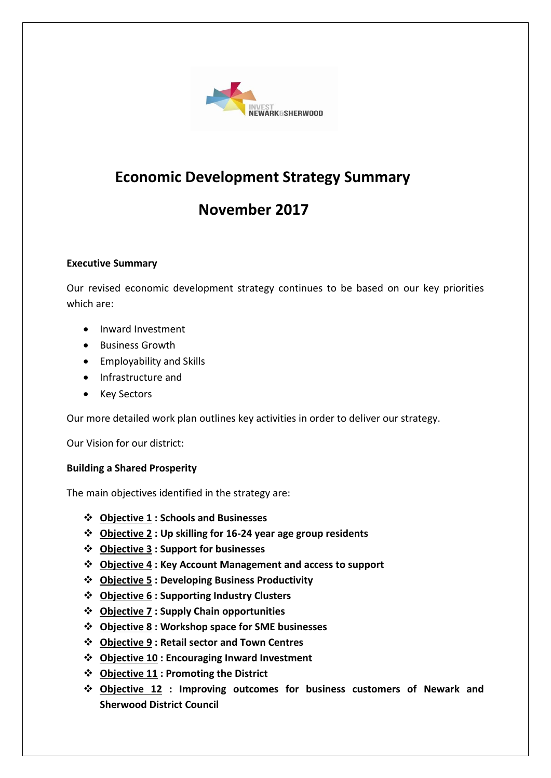

# **Economic Development Strategy Summary**

# **November 2017**

#### **Executive Summary**

Our revised economic development strategy continues to be based on our key priorities which are:

- Inward Investment
- **•** Business Growth
- Employability and Skills
- Infrastructure and
- Key Sectors

Our more detailed work plan outlines key activities in order to deliver our strategy.

Our Vision for our district:

## **Building a Shared Prosperity**

The main objectives identified in the strategy are:

- **Objective 1 : Schools and Businesses**
- **Objective 2 : Up skilling for 16-24 year age group residents**
- **Objective 3 : Support for businesses**
- **Objective 4 : Key Account Management and access to support**
- **Objective 5 : Developing Business Productivity**
- **Objective 6 : Supporting Industry Clusters**
- **Objective 7 : Supply Chain opportunities**
- **Objective 8 : Workshop space for SME businesses**
- **Objective 9 : Retail sector and Town Centres**
- **Objective 10 : Encouraging Inward Investment**
- **Objective 11 : Promoting the District**
- **Objective 12 : Improving outcomes for business customers of Newark and Sherwood District Council**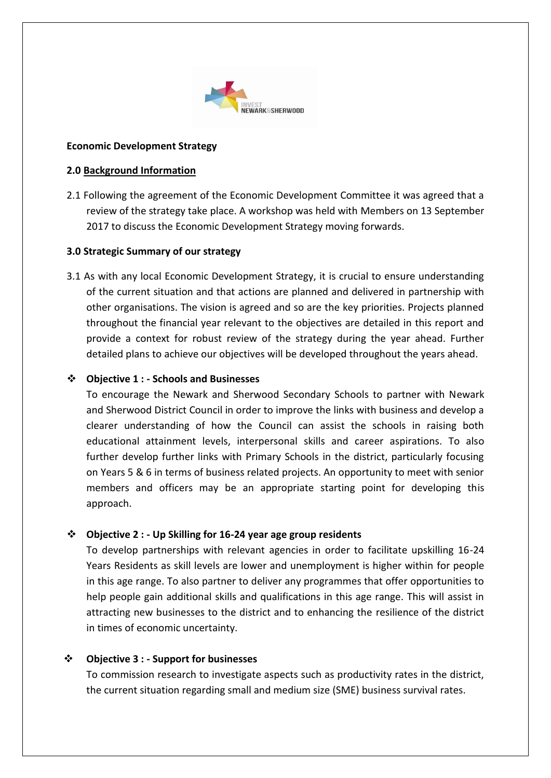

#### **Economic Development Strategy**

#### **2.0 Background Information**

2.1 Following the agreement of the Economic Development Committee it was agreed that a review of the strategy take place. A workshop was held with Members on 13 September 2017 to discuss the Economic Development Strategy moving forwards.

#### **3.0 Strategic Summary of our strategy**

3.1 As with any local Economic Development Strategy, it is crucial to ensure understanding of the current situation and that actions are planned and delivered in partnership with other organisations. The vision is agreed and so are the key priorities. Projects planned throughout the financial year relevant to the objectives are detailed in this report and provide a context for robust review of the strategy during the year ahead. Further detailed plans to achieve our objectives will be developed throughout the years ahead.

#### **Objective 1 : - Schools and Businesses**

To encourage the Newark and Sherwood Secondary Schools to partner with Newark and Sherwood District Council in order to improve the links with business and develop a clearer understanding of how the Council can assist the schools in raising both educational attainment levels, interpersonal skills and career aspirations. To also further develop further links with Primary Schools in the district, particularly focusing on Years 5 & 6 in terms of business related projects. An opportunity to meet with senior members and officers may be an appropriate starting point for developing this approach.

## **Objective 2 : - Up Skilling for 16-24 year age group residents**

To develop partnerships with relevant agencies in order to facilitate upskilling 16-24 Years Residents as skill levels are lower and unemployment is higher within for people in this age range. To also partner to deliver any programmes that offer opportunities to help people gain additional skills and qualifications in this age range. This will assist in attracting new businesses to the district and to enhancing the resilience of the district in times of economic uncertainty.

## **Objective 3 : - Support for businesses**

To commission research to investigate aspects such as productivity rates in the district, the current situation regarding small and medium size (SME) business survival rates.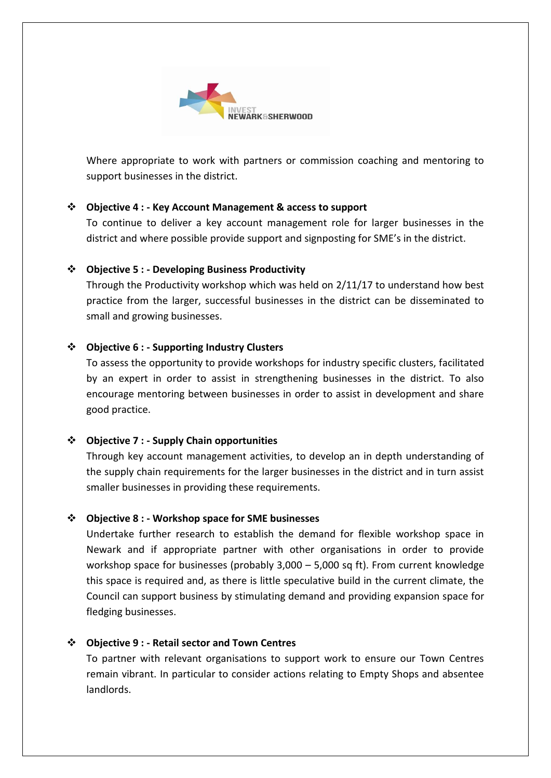

Where appropriate to work with partners or commission coaching and mentoring to support businesses in the district.

## **Objective 4 : - Key Account Management & access to support**

To continue to deliver a key account management role for larger businesses in the district and where possible provide support and signposting for SME's in the district.

## **Objective 5 : - Developing Business Productivity**

Through the Productivity workshop which was held on 2/11/17 to understand how best practice from the larger, successful businesses in the district can be disseminated to small and growing businesses.

## **Objective 6 : - Supporting Industry Clusters**

To assess the opportunity to provide workshops for industry specific clusters, facilitated by an expert in order to assist in strengthening businesses in the district. To also encourage mentoring between businesses in order to assist in development and share good practice.

## **Objective 7 : - Supply Chain opportunities**

Through key account management activities, to develop an in depth understanding of the supply chain requirements for the larger businesses in the district and in turn assist smaller businesses in providing these requirements.

#### **Objective 8 : - Workshop space for SME businesses**

Undertake further research to establish the demand for flexible workshop space in Newark and if appropriate partner with other organisations in order to provide workshop space for businesses (probably 3,000 – 5,000 sq ft). From current knowledge this space is required and, as there is little speculative build in the current climate, the Council can support business by stimulating demand and providing expansion space for fledging businesses.

## **Objective 9 : - Retail sector and Town Centres**

To partner with relevant organisations to support work to ensure our Town Centres remain vibrant. In particular to consider actions relating to Empty Shops and absentee landlords.